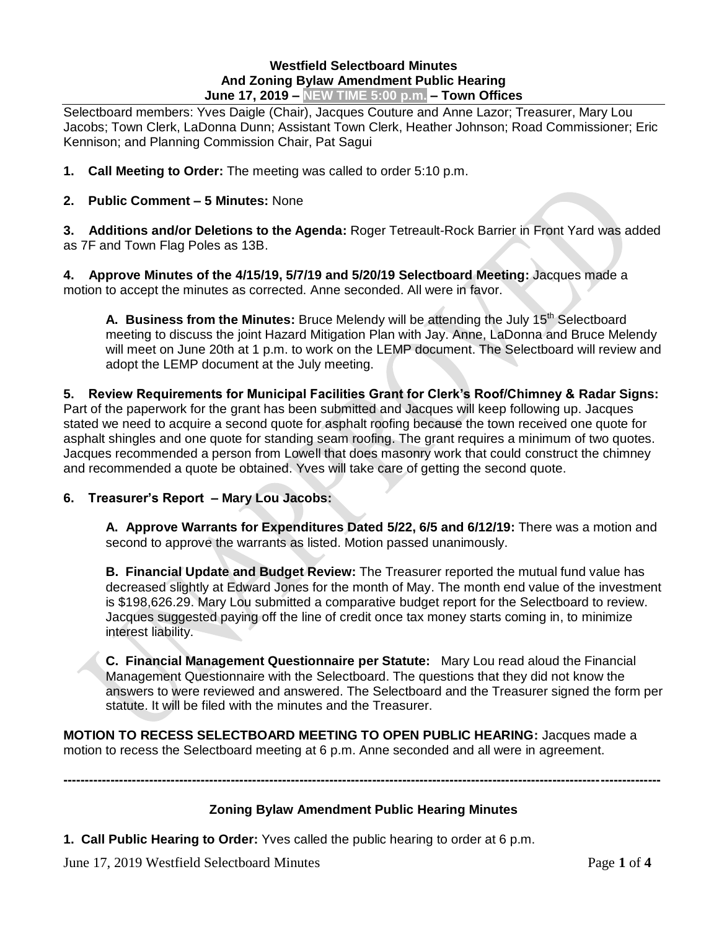#### **Westfield Selectboard Minutes And Zoning Bylaw Amendment Public Hearing June 17, 2019 – NEW TIME 5:00 p.m. – Town Offices**

Selectboard members: Yves Daigle (Chair), Jacques Couture and Anne Lazor; Treasurer, Mary Lou Jacobs; Town Clerk, LaDonna Dunn; Assistant Town Clerk, Heather Johnson; Road Commissioner; Eric Kennison; and Planning Commission Chair, Pat Sagui

- **1. Call Meeting to Order:** The meeting was called to order 5:10 p.m.
- **2. Public Comment – 5 Minutes:** None

**3. Additions and/or Deletions to the Agenda:** Roger Tetreault-Rock Barrier in Front Yard was added as 7F and Town Flag Poles as 13B.

**4. Approve Minutes of the 4/15/19, 5/7/19 and 5/20/19 Selectboard Meeting:** Jacques made a motion to accept the minutes as corrected. Anne seconded. All were in favor.

A. Business from the Minutes: Bruce Melendy will be attending the July 15<sup>th</sup> Selectboard meeting to discuss the joint Hazard Mitigation Plan with Jay. Anne, LaDonna and Bruce Melendy will meet on June 20th at 1 p.m. to work on the LEMP document. The Selectboard will review and adopt the LEMP document at the July meeting.

#### **5. Review Requirements for Municipal Facilities Grant for Clerk's Roof/Chimney & Radar Signs:** Part of the paperwork for the grant has been submitted and Jacques will keep following up. Jacques stated we need to acquire a second quote for asphalt roofing because the town received one quote for asphalt shingles and one quote for standing seam roofing. The grant requires a minimum of two quotes. Jacques recommended a person from Lowell that does masonry work that could construct the chimney and recommended a quote be obtained. Yves will take care of getting the second quote.

### **6. Treasurer's Report – Mary Lou Jacobs:**

**A. Approve Warrants for Expenditures Dated 5/22, 6/5 and 6/12/19:** There was a motion and second to approve the warrants as listed. Motion passed unanimously.

**B. Financial Update and Budget Review:** The Treasurer reported the mutual fund value has decreased slightly at Edward Jones for the month of May. The month end value of the investment is \$198,626.29. Mary Lou submitted a comparative budget report for the Selectboard to review. Jacques suggested paying off the line of credit once tax money starts coming in, to minimize interest liability.

**C. Financial Management Questionnaire per Statute:** Mary Lou read aloud the Financial Management Questionnaire with the Selectboard. The questions that they did not know the answers to were reviewed and answered. The Selectboard and the Treasurer signed the form per statute. It will be filed with the minutes and the Treasurer.

**MOTION TO RECESS SELECTBOARD MEETING TO OPEN PUBLIC HEARING:** Jacques made a motion to recess the Selectboard meeting at 6 p.m. Anne seconded and all were in agreement.

### **Zoning Bylaw Amendment Public Hearing Minutes**

**-------------------------------------------------------------------------------------------------------------------------------------------** 

**1. Call Public Hearing to Order:** Yves called the public hearing to order at 6 p.m.

June 17, 2019 Westfield Selectboard Minutes Page **1** of **4**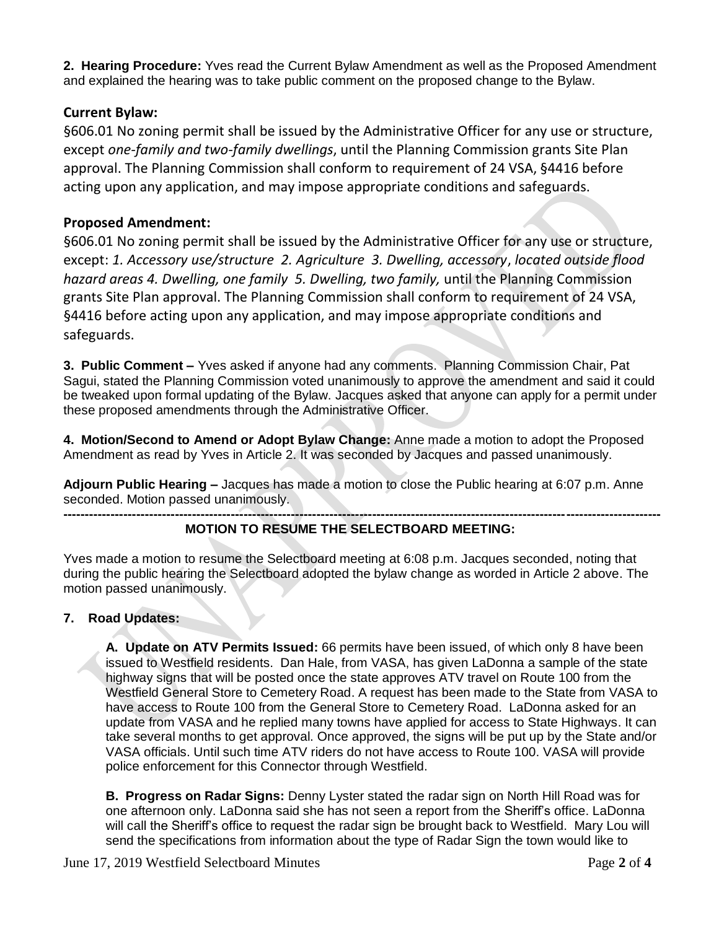**2. Hearing Procedure:** Yves read the Current Bylaw Amendment as well as the Proposed Amendment and explained the hearing was to take public comment on the proposed change to the Bylaw.

# **Current Bylaw:**

§606.01 No zoning permit shall be issued by the Administrative Officer for any use or structure, except *one-family and two-family dwellings*, until the Planning Commission grants Site Plan approval. The Planning Commission shall conform to requirement of 24 VSA, §4416 before acting upon any application, and may impose appropriate conditions and safeguards.

# **Proposed Amendment:**

§606.01 No zoning permit shall be issued by the Administrative Officer for any use or structure, except: *1. Accessory use/structure 2. Agriculture 3. Dwelling, accessory*, *located outside flood hazard areas 4. Dwelling, one family 5. Dwelling, two family,* until the Planning Commission grants Site Plan approval. The Planning Commission shall conform to requirement of 24 VSA, §4416 before acting upon any application, and may impose appropriate conditions and safeguards.

**3. Public Comment –** Yves asked if anyone had any comments. Planning Commission Chair, Pat Sagui, stated the Planning Commission voted unanimously to approve the amendment and said it could be tweaked upon formal updating of the Bylaw. Jacques asked that anyone can apply for a permit under these proposed amendments through the Administrative Officer.

**4. Motion/Second to Amend or Adopt Bylaw Change:** Anne made a motion to adopt the Proposed Amendment as read by Yves in Article 2. It was seconded by Jacques and passed unanimously.

**Adjourn Public Hearing –** Jacques has made a motion to close the Public hearing at 6:07 p.m. Anne seconded. Motion passed unanimously.

#### **------------------------------------------------------------------------------------------------------------------------------------------- MOTION TO RESUME THE SELECTBOARD MEETING:**

Yves made a motion to resume the Selectboard meeting at 6:08 p.m. Jacques seconded, noting that during the public hearing the Selectboard adopted the bylaw change as worded in Article 2 above. The motion passed unanimously.

# **7. Road Updates:**

**A. Update on ATV Permits Issued:** 66 permits have been issued, of which only 8 have been issued to Westfield residents. Dan Hale, from VASA, has given LaDonna a sample of the state highway signs that will be posted once the state approves ATV travel on Route 100 from the Westfield General Store to Cemetery Road. A request has been made to the State from VASA to have access to Route 100 from the General Store to Cemetery Road. LaDonna asked for an update from VASA and he replied many towns have applied for access to State Highways. It can take several months to get approval. Once approved, the signs will be put up by the State and/or VASA officials. Until such time ATV riders do not have access to Route 100. VASA will provide police enforcement for this Connector through Westfield.

**B. Progress on Radar Signs:** Denny Lyster stated the radar sign on North Hill Road was for one afternoon only. LaDonna said she has not seen a report from the Sheriff's office. LaDonna will call the Sheriff's office to request the radar sign be brought back to Westfield. Mary Lou will send the specifications from information about the type of Radar Sign the town would like to

June 17, 2019 Westfield Selectboard Minutes Page **2** of **4**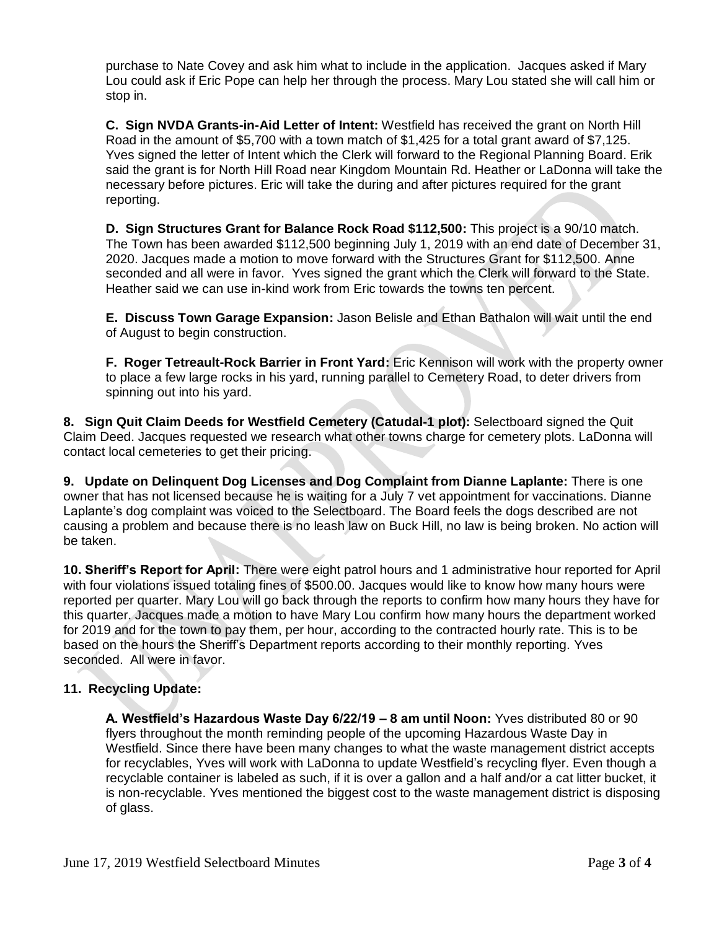purchase to Nate Covey and ask him what to include in the application. Jacques asked if Mary Lou could ask if Eric Pope can help her through the process. Mary Lou stated she will call him or stop in.

**C. Sign NVDA Grants-in-Aid Letter of Intent:** Westfield has received the grant on North Hill Road in the amount of \$5,700 with a town match of \$1,425 for a total grant award of \$7,125. Yves signed the letter of Intent which the Clerk will forward to the Regional Planning Board. Erik said the grant is for North Hill Road near Kingdom Mountain Rd. Heather or LaDonna will take the necessary before pictures. Eric will take the during and after pictures required for the grant reporting.

**D. Sign Structures Grant for Balance Rock Road \$112,500:** This project is a 90/10 match. The Town has been awarded \$112,500 beginning July 1, 2019 with an end date of December 31, 2020. Jacques made a motion to move forward with the Structures Grant for \$112,500. Anne seconded and all were in favor. Yves signed the grant which the Clerk will forward to the State. Heather said we can use in-kind work from Eric towards the towns ten percent.

**E. Discuss Town Garage Expansion:** Jason Belisle and Ethan Bathalon will wait until the end of August to begin construction.

**F. Roger Tetreault-Rock Barrier in Front Yard:** Eric Kennison will work with the property owner to place a few large rocks in his yard, running parallel to Cemetery Road, to deter drivers from spinning out into his yard.

**8. Sign Quit Claim Deeds for Westfield Cemetery (Catudal-1 plot):** Selectboard signed the Quit Claim Deed. Jacques requested we research what other towns charge for cemetery plots. LaDonna will contact local cemeteries to get their pricing.

**9. Update on Delinquent Dog Licenses and Dog Complaint from Dianne Laplante:** There is one owner that has not licensed because he is waiting for a July 7 vet appointment for vaccinations. Dianne Laplante's dog complaint was voiced to the Selectboard. The Board feels the dogs described are not causing a problem and because there is no leash law on Buck Hill, no law is being broken. No action will be taken.

**10. Sheriff's Report for April:** There were eight patrol hours and 1 administrative hour reported for April with four violations issued totaling fines of \$500.00. Jacques would like to know how many hours were reported per quarter. Mary Lou will go back through the reports to confirm how many hours they have for this quarter. Jacques made a motion to have Mary Lou confirm how many hours the department worked for 2019 and for the town to pay them, per hour, according to the contracted hourly rate. This is to be based on the hours the Sheriff's Department reports according to their monthly reporting. Yves seconded. All were in favor.

# **11. Recycling Update:**

**A. Westfield's Hazardous Waste Day 6/22/19 – 8 am until Noon:** Yves distributed 80 or 90 flyers throughout the month reminding people of the upcoming Hazardous Waste Day in Westfield. Since there have been many changes to what the waste management district accepts for recyclables, Yves will work with LaDonna to update Westfield's recycling flyer. Even though a recyclable container is labeled as such, if it is over a gallon and a half and/or a cat litter bucket, it is non-recyclable. Yves mentioned the biggest cost to the waste management district is disposing of glass.